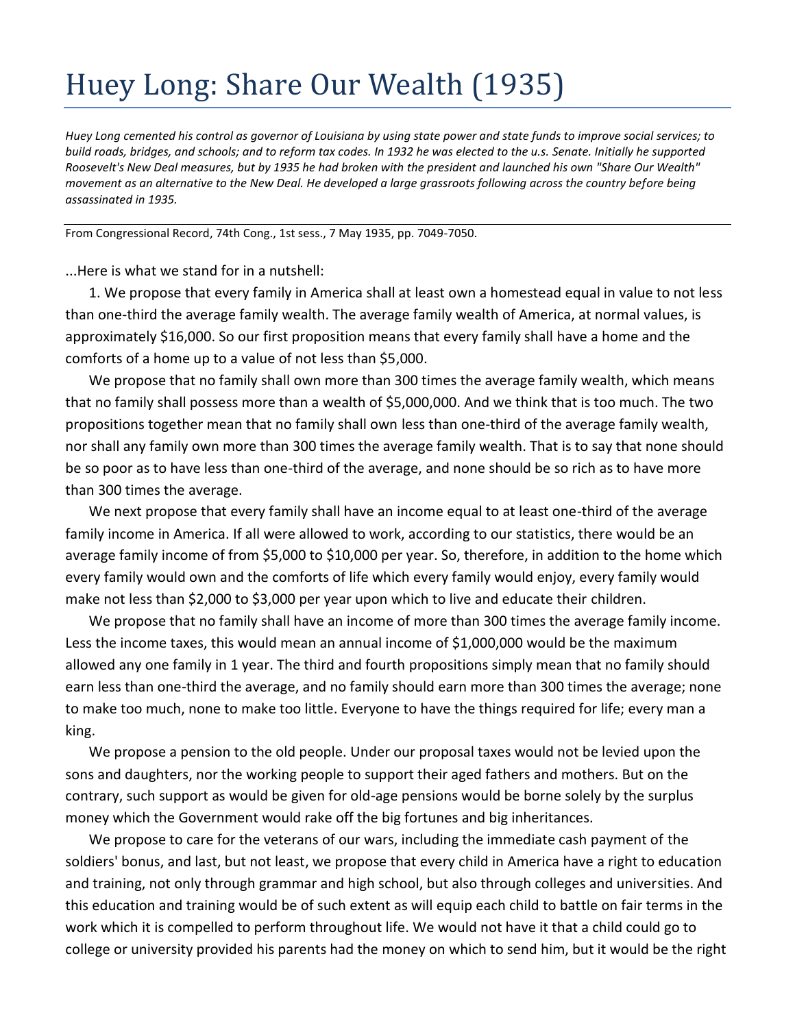## Huey Long: Share Our Wealth (1935)

*Huey Long cemented his control as governor of Louisiana by using state power and state funds to improve social services; to build roads, bridges, and schools; and to reform tax codes. In 1932 he was elected to the u.s. Senate. Initially he supported Roosevelt's New Deal measures, but by 1935 he had broken with the president and launched his own "Share Our Wealth" movement as an alternative to the New Deal. He developed a large grassroots following across the country before being assassinated in 1935.* 

From Congressional Record, 74th Cong., 1st sess., 7 May 1935, pp. 7049-7050.

...Here is what we stand for in a nutshell:

1. We propose that every family in America shall at least own a homestead equal in value to not less than one-third the average family wealth. The average family wealth of America, at normal values, is approximately \$16,000. So our first proposition means that every family shall have a home and the comforts of a home up to a value of not less than \$5,000.

We propose that no family shall own more than 300 times the average family wealth, which means that no family shall possess more than a wealth of \$5,000,000. And we think that is too much. The two propositions together mean that no family shall own less than one-third of the average family wealth, nor shall any family own more than 300 times the average family wealth. That is to say that none should be so poor as to have less than one-third of the average, and none should be so rich as to have more than 300 times the average.

We next propose that every family shall have an income equal to at least one-third of the average family income in America. If all were allowed to work, according to our statistics, there would be an average family income of from \$5,000 to \$10,000 per year. So, therefore, in addition to the home which every family would own and the comforts of life which every family would enjoy, every family would make not less than \$2,000 to \$3,000 per year upon which to live and educate their children.

We propose that no family shall have an income of more than 300 times the average family income. Less the income taxes, this would mean an annual income of \$1,000,000 would be the maximum allowed any one family in 1 year. The third and fourth propositions simply mean that no family should earn less than one-third the average, and no family should earn more than 300 times the average; none to make too much, none to make too little. Everyone to have the things required for life; every man a king.

We propose a pension to the old people. Under our proposal taxes would not be levied upon the sons and daughters, nor the working people to support their aged fathers and mothers. But on the contrary, such support as would be given for old-age pensions would be borne solely by the surplus money which the Government would rake off the big fortunes and big inheritances.

We propose to care for the veterans of our wars, including the immediate cash payment of the soldiers' bonus, and last, but not least, we propose that every child in America have a right to education and training, not only through grammar and high school, but also through colleges and universities. And this education and training would be of such extent as will equip each child to battle on fair terms in the work which it is compelled to perform throughout life. We would not have it that a child could go to college or university provided his parents had the money on which to send him, but it would be the right